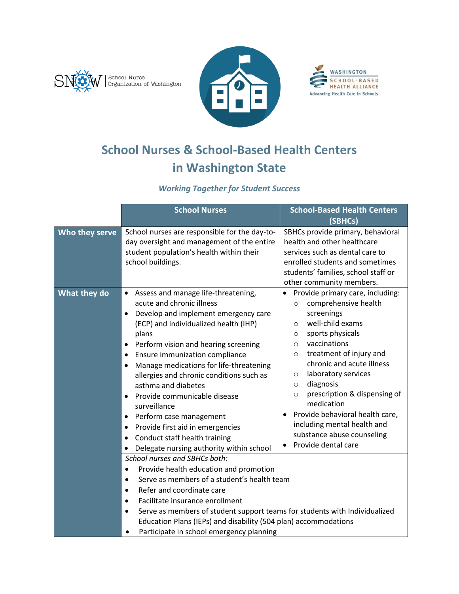





# **School Nurses & School-Based Health Centers in Washington State**

## *Working Together for Student Success*

|                | <b>School Nurses</b>                                                                                                                                                                                                                                                                                                                                                                                                                                                                                                                                                                                      | <b>School-Based Health Centers</b>                                                                                                                                                                                                                                                                                                                                                                                                                                                      |
|----------------|-----------------------------------------------------------------------------------------------------------------------------------------------------------------------------------------------------------------------------------------------------------------------------------------------------------------------------------------------------------------------------------------------------------------------------------------------------------------------------------------------------------------------------------------------------------------------------------------------------------|-----------------------------------------------------------------------------------------------------------------------------------------------------------------------------------------------------------------------------------------------------------------------------------------------------------------------------------------------------------------------------------------------------------------------------------------------------------------------------------------|
|                |                                                                                                                                                                                                                                                                                                                                                                                                                                                                                                                                                                                                           | (SBHCs)                                                                                                                                                                                                                                                                                                                                                                                                                                                                                 |
| Who they serve | School nurses are responsible for the day-to-<br>day oversight and management of the entire<br>student population's health within their<br>school buildings.                                                                                                                                                                                                                                                                                                                                                                                                                                              | SBHCs provide primary, behavioral<br>health and other healthcare<br>services such as dental care to<br>enrolled students and sometimes<br>students' families, school staff or<br>other community members.                                                                                                                                                                                                                                                                               |
| What they do   | Assess and manage life-threatening,<br>$\bullet$<br>acute and chronic illness<br>Develop and implement emergency care<br>(ECP) and individualized health (IHP)<br>plans<br>Perform vision and hearing screening<br>٠<br>Ensure immunization compliance<br>Manage medications for life-threatening<br>$\bullet$<br>allergies and chronic conditions such as<br>asthma and diabetes<br>Provide communicable disease<br>surveillance<br>Perform case management<br>٠<br>Provide first aid in emergencies<br>٠<br>Conduct staff health training<br>$\bullet$<br>Delegate nursing authority within school<br>٠ | Provide primary care, including:<br>comprehensive health<br>$\circ$<br>screenings<br>well-child exams<br>$\circ$<br>sports physicals<br>$\circ$<br>vaccinations<br>$\circ$<br>treatment of injury and<br>$\circ$<br>chronic and acute illness<br>laboratory services<br>$\circ$<br>diagnosis<br>$\circ$<br>prescription & dispensing of<br>$\circ$<br>medication<br>Provide behavioral health care,<br>including mental health and<br>substance abuse counseling<br>Provide dental care |
|                | School nurses and SBHCs both:<br>Provide health education and promotion<br>$\bullet$<br>Serve as members of a student's health team<br>$\bullet$<br>Refer and coordinate care<br>$\bullet$<br>Facilitate insurance enrollment<br>Serve as members of student support teams for students with Individualized<br>$\bullet$<br>Education Plans (IEPs) and disability (504 plan) accommodations<br>Participate in school emergency planning                                                                                                                                                                   |                                                                                                                                                                                                                                                                                                                                                                                                                                                                                         |